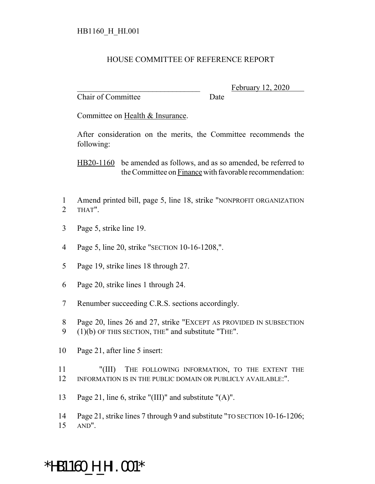## HOUSE COMMITTEE OF REFERENCE REPORT

Chair of Committee Date

February 12, 2020

Committee on Health & Insurance.

After consideration on the merits, the Committee recommends the following:

HB20-1160 be amended as follows, and as so amended, be referred to the Committee on Finance with favorable recommendation:

- 1 Amend printed bill, page 5, line 18, strike "NONPROFIT ORGANIZATION 2 THAT".
- 3 Page 5, strike line 19.
- 4 Page 5, line 20, strike "SECTION 10-16-1208,".
- 5 Page 19, strike lines 18 through 27.
- 6 Page 20, strike lines 1 through 24.
- 7 Renumber succeeding C.R.S. sections accordingly.
- 8 Page 20, lines 26 and 27, strike "EXCEPT AS PROVIDED IN SUBSECTION
- 9 (1)(b) OF THIS SECTION, THE" and substitute "THE".
- 10 Page 21, after line 5 insert:
- 11 "(III) THE FOLLOWING INFORMATION, TO THE EXTENT THE 12 INFORMATION IS IN THE PUBLIC DOMAIN OR PUBLICLY AVAILABLE:".
- 13 Page 21, line 6, strike "(III)" and substitute "(A)".
- 14 Page 21, strike lines 7 through 9 and substitute "TO SECTION 10-16-1206; 15 AND".

## \*HB1160\_H\_HI.001\*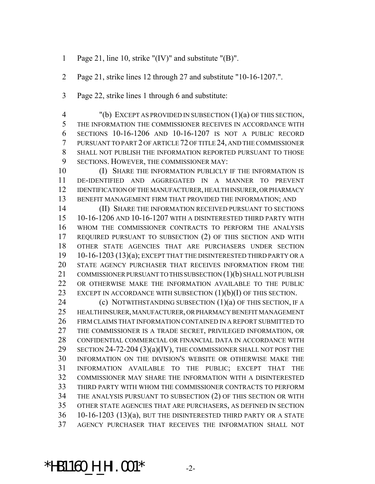- Page 21, line 10, strike "(IV)" and substitute "(B)".
- Page 21, strike lines 12 through 27 and substitute "10-16-1207.".
- Page 22, strike lines 1 through 6 and substitute:

 "(b) EXCEPT AS PROVIDED IN SUBSECTION (1)(a) OF THIS SECTION, THE INFORMATION THE COMMISSIONER RECEIVES IN ACCORDANCE WITH SECTIONS 10-16-1206 AND 10-16-1207 IS NOT A PUBLIC RECORD PURSUANT TO PART 2 OF ARTICLE 72 OF TITLE 24, AND THE COMMISSIONER SHALL NOT PUBLISH THE INFORMATION REPORTED PURSUANT TO THOSE SECTIONS. HOWEVER, THE COMMISSIONER MAY:

**(I) SHARE THE INFORMATION PUBLICLY IF THE INFORMATION IS**  DE-IDENTIFIED AND AGGREGATED IN A MANNER TO PREVENT IDENTIFICATION OF THE MANUFACTURER, HEALTH INSURER, OR PHARMACY BENEFIT MANAGEMENT FIRM THAT PROVIDED THE INFORMATION; AND

 (II) SHARE THE INFORMATION RECEIVED PURSUANT TO SECTIONS 10-16-1206 AND 10-16-1207 WITH A DISINTERESTED THIRD PARTY WITH WHOM THE COMMISSIONER CONTRACTS TO PERFORM THE ANALYSIS REQUIRED PURSUANT TO SUBSECTION (2) OF THIS SECTION AND WITH OTHER STATE AGENCIES THAT ARE PURCHASERS UNDER SECTION 10-16-1203 (13)(a); EXCEPT THAT THE DISINTERESTED THIRD PARTY OR A STATE AGENCY PURCHASER THAT RECEIVES INFORMATION FROM THE 21 COMMISSIONER PURSUANT TO THIS SUBSECTION (1)(b) SHALL NOT PUBLISH OR OTHERWISE MAKE THE INFORMATION AVAILABLE TO THE PUBLIC 23 EXCEPT IN ACCORDANCE WITH SUBSECTION  $(1)(b)(I)$  OF THIS SECTION.

**(c) NOTWITHSTANDING SUBSECTION (1)(a) OF THIS SECTION, IF A**  HEALTH INSURER, MANUFACTURER, OR PHARMACY BENEFIT MANAGEMENT FIRM CLAIMS THAT INFORMATION CONTAINED IN A REPORT SUBMITTED TO THE COMMISSIONER IS A TRADE SECRET, PRIVILEGED INFORMATION, OR CONFIDENTIAL COMMERCIAL OR FINANCIAL DATA IN ACCORDANCE WITH 29 SECTION 24-72-204 (3)(a)(IV), THE COMMISSIONER SHALL NOT POST THE INFORMATION ON THE DIVISION'S WEBSITE OR OTHERWISE MAKE THE INFORMATION AVAILABLE TO THE PUBLIC; EXCEPT THAT THE COMMISSIONER MAY SHARE THE INFORMATION WITH A DISINTERESTED THIRD PARTY WITH WHOM THE COMMISSIONER CONTRACTS TO PERFORM THE ANALYSIS PURSUANT TO SUBSECTION (2) OF THIS SECTION OR WITH OTHER STATE AGENCIES THAT ARE PURCHASERS, AS DEFINED IN SECTION 10-16-1203 (13)(a), BUT THE DISINTERESTED THIRD PARTY OR A STATE AGENCY PURCHASER THAT RECEIVES THE INFORMATION SHALL NOT

\*HB1160\_H\_HI.001\* -2-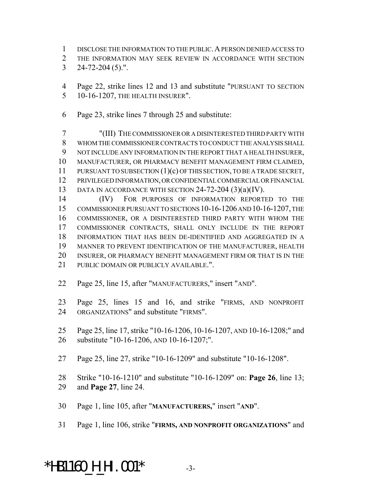- DISCLOSE THE INFORMATION TO THE PUBLIC.A PERSON DENIED ACCESS TO
- THE INFORMATION MAY SEEK REVIEW IN ACCORDANCE WITH SECTION
- 24-72-204 (5).".
- Page 22, strike lines 12 and 13 and substitute "PURSUANT TO SECTION 10-16-1207, THE HEALTH INSURER".
- Page 23, strike lines 7 through 25 and substitute:

 "(III) THE COMMISSIONER OR A DISINTERESTED THIRD PARTY WITH WHOM THE COMMISSIONER CONTRACTS TO CONDUCT THE ANALYSIS SHALL NOT INCLUDE ANY INFORMATION IN THE REPORT THAT A HEALTH INSURER, MANUFACTURER, OR PHARMACY BENEFIT MANAGEMENT FIRM CLAIMED, 11 PURSUANT TO SUBSECTION (1)(c) OF THIS SECTION, TO BE A TRADE SECRET, PRIVILEGED INFORMATION, OR CONFIDENTIAL COMMERCIAL OR FINANCIAL 13 DATA IN ACCORDANCE WITH SECTION 24-72-204 (3)(a)(IV).

 (IV) FOR PURPOSES OF INFORMATION REPORTED TO THE COMMISSIONER PURSUANT TO SECTIONS 10-16-1206 AND 10-16-1207, THE COMMISSIONER, OR A DISINTERESTED THIRD PARTY WITH WHOM THE COMMISSIONER CONTRACTS, SHALL ONLY INCLUDE IN THE REPORT INFORMATION THAT HAS BEEN DE-IDENTIFIED AND AGGREGATED IN A MANNER TO PREVENT IDENTIFICATION OF THE MANUFACTURER, HEALTH INSURER, OR PHARMACY BENEFIT MANAGEMENT FIRM OR THAT IS IN THE PUBLIC DOMAIN OR PUBLICLY AVAILABLE.".

Page 25, line 15, after "MANUFACTURERS," insert "AND".

 Page 25, lines 15 and 16, and strike "FIRMS, AND NONPROFIT ORGANIZATIONS" and substitute "FIRMS".

- Page 25, line 17, strike "10-16-1206, 10-16-1207, AND 10-16-1208;" and substitute "10-16-1206, AND 10-16-1207;".
- Page 25, line 27, strike "10-16-1209" and substitute "10-16-1208".

Strike "10-16-1210" and substitute "10-16-1209" on: **Page 26**, line 13;

- and **Page 27**, line 24.
- Page 1, line 105, after "**MANUFACTURERS,**" insert "**AND**".
- Page 1, line 106, strike "**FIRMS, AND NONPROFIT ORGANIZATIONS**" and

## **\*HB1160\_H\_HI.001\***  $-3$ -